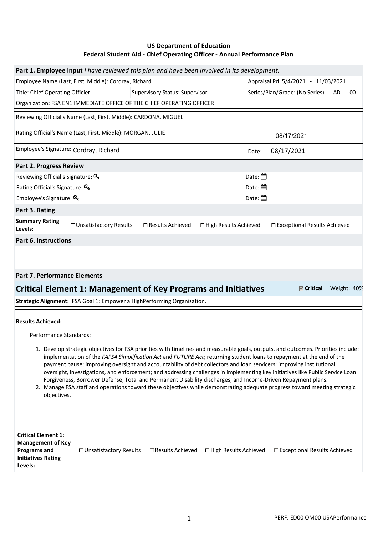## **US Department of Education Federal Student Aid ‐ Chief Operating Officer ‐ Annual Performance Plan**

|                                                                                                                             |                          | Part 1. Employee Input I have reviewed this plan and have been involved in its development.                                                                                                                                             |                         |                                          |                                     |  |  |
|-----------------------------------------------------------------------------------------------------------------------------|--------------------------|-----------------------------------------------------------------------------------------------------------------------------------------------------------------------------------------------------------------------------------------|-------------------------|------------------------------------------|-------------------------------------|--|--|
| Employee Name (Last, First, Middle): Cordray, Richard                                                                       |                          |                                                                                                                                                                                                                                         |                         |                                          | Appraisal Pd. 5/4/2021 - 11/03/2021 |  |  |
| Title: Chief Operating Officier                                                                                             |                          | <b>Supervisory Status: Supervisor</b>                                                                                                                                                                                                   |                         | Series/Plan/Grade: (No Series) - AD - 00 |                                     |  |  |
|                                                                                                                             |                          | Organization: FSA EN1 IMMEDIATE OFFICE OF THE CHIEF OPERATING OFFICER                                                                                                                                                                   |                         |                                          |                                     |  |  |
|                                                                                                                             |                          | Reviewing Official's Name (Last, First, Middle): CARDONA, MIGUEL                                                                                                                                                                        |                         |                                          |                                     |  |  |
| Rating Official's Name (Last, First, Middle): MORGAN, JULIE<br>08/17/2021                                                   |                          |                                                                                                                                                                                                                                         |                         |                                          |                                     |  |  |
| Employee's Signature: Cordray, Richard                                                                                      |                          |                                                                                                                                                                                                                                         |                         |                                          | 08/17/2021                          |  |  |
| Part 2. Progress Review                                                                                                     |                          |                                                                                                                                                                                                                                         |                         |                                          |                                     |  |  |
| Reviewing Official's Signature: Q                                                                                           |                          |                                                                                                                                                                                                                                         |                         | Date: <u></u>                            |                                     |  |  |
| Rating Official's Signature: Q                                                                                              |                          |                                                                                                                                                                                                                                         | Date: $m$               |                                          |                                     |  |  |
| Employee's Signature: Q                                                                                                     |                          |                                                                                                                                                                                                                                         |                         |                                          | Date: #                             |  |  |
| Part 3. Rating                                                                                                              |                          |                                                                                                                                                                                                                                         |                         |                                          |                                     |  |  |
| <b>Summary Rating</b><br>Levels:                                                                                            | □ Unsatisfactory Results | □ Results Achieved                                                                                                                                                                                                                      | □ High Results Achieved |                                          | □ Exceptional Results Achieved      |  |  |
| Part 6. Instructions                                                                                                        |                          |                                                                                                                                                                                                                                         |                         |                                          |                                     |  |  |
|                                                                                                                             |                          |                                                                                                                                                                                                                                         |                         |                                          |                                     |  |  |
|                                                                                                                             |                          |                                                                                                                                                                                                                                         |                         |                                          |                                     |  |  |
| <b>Part 7. Performance Elements</b>                                                                                         |                          |                                                                                                                                                                                                                                         |                         |                                          |                                     |  |  |
| <b>Critical Element 1: Management of Key Programs and Initiatives</b><br>$\overline{\triangledown}$ Critical<br>Weight: 40% |                          |                                                                                                                                                                                                                                         |                         |                                          |                                     |  |  |
| Strategic Alignment: FSA Goal 1: Empower a HighPerforming Organization.                                                     |                          |                                                                                                                                                                                                                                         |                         |                                          |                                     |  |  |
|                                                                                                                             |                          |                                                                                                                                                                                                                                         |                         |                                          |                                     |  |  |
| <b>Results Achieved:</b>                                                                                                    |                          |                                                                                                                                                                                                                                         |                         |                                          |                                     |  |  |
| Performance Standards:                                                                                                      |                          |                                                                                                                                                                                                                                         |                         |                                          |                                     |  |  |
|                                                                                                                             |                          | 1. Develop strategic objectives for FSA priorities with timelines and measurable goals, outputs, and outcomes. Priorities include:                                                                                                      |                         |                                          |                                     |  |  |
|                                                                                                                             |                          | implementation of the FAFSA Simplification Act and FUTURE Act; returning student loans to repayment at the end of the<br>legance improving overciably and accountability of debt collectors and loan servicers; improving institutional |                         |                                          |                                     |  |  |

- payment pause; improving oversight and accountability of debt collectors and loan servicers; improving institutional oversight, investigations, and enforcement; and addressing challenges in implementing key initiatives like Public Service Loan Forgiveness, Borrower Defense, Total and Permanent Disability discharges, and Income‐Driven Repayment plans.
- 2. Manage FSA staff and operations toward these objectives while demonstrating adequate progress toward meeting strategic objectives.

**Critical Element 1: Management of Key Programs and Initiatives Rating Levels:**  $\Box$  Unsatisfactory Results  $\Box$  Results Achieved  $\Box$  High Results Achieved  $\Box$  Exceptional Results Achieved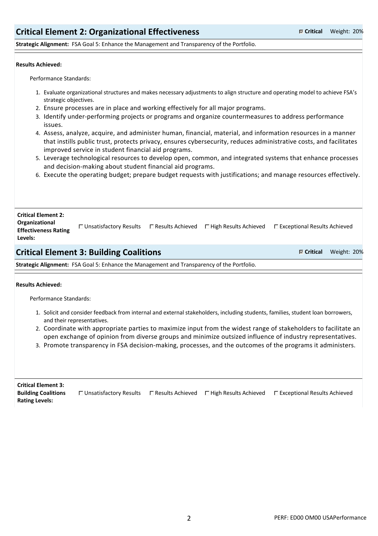# **Critical Element 2: Organizational Effectiveness Critical Critical Weight: 20%**

**Strategic Alignment:** FSA Goal 5: Enhance the Management and Transparency of the Portfolio.

#### **Results Achieved:**

Performance Standards:

- 1. Evaluate organizational structures and makes necessary adjustments to align structure and operating model to achieve FSA's strategic objectives.
- 2. Ensure processes are in place and working effectively for all major programs.
- 3. Identify under‐performing projects or programs and organize countermeasures to address performance issues.
- 4. Assess, analyze, acquire, and administer human, financial, material, and information resources in a manner that instills public trust, protects privacy, ensures cybersecurity, reduces administrative costs, and facilitates improved service in student financial aid programs.
- 5. Leverage technological resources to develop open, common, and integrated systems that enhance processes and decision‐making about student financial aid programs.
- 6. Execute the operating budget; prepare budget requests with justifications; and manage resources effectively.

| <b>Critical Element 2:</b><br>Organizational<br><b>Effectiveness Rating</b><br>Levels: | □ Unsatisfactory Results | $\Box$ Results Achieved | $\Box$ High Results Achieved | $\Box$ Exceptional Results Achieved |  |  |
|----------------------------------------------------------------------------------------|--------------------------|-------------------------|------------------------------|-------------------------------------|--|--|
| <b>Critical Element 3: Building Coalitions</b><br>Weight: 20%<br>$\mathbb F$ Critical  |                          |                         |                              |                                     |  |  |
| A CAP CAA LEEL JAAR LEEL (LAIR) (A                                                     |                          |                         |                              |                                     |  |  |

**Strategic Alignment:** FSA Goal 5: Enhance the Management and Transparency of the Portfolio.

#### **Results Achieved:**

Performance Standards:

- 1. Solicit and consider feedback from internal and external stakeholders, including students, families, student loan borrowers, and their representatives.
- 2. Coordinate with appropriate parties to maximize input from the widest range of stakeholders to facilitate an open exchange of opinion from diverse groups and minimize outsized influence of industry representatives.
- 3. Promote transparency in FSA decision‐making, processes, and the outcomes of the programs it administers.

| <b>Critical Element 3:</b> |                          |                         |                              |                                |
|----------------------------|--------------------------|-------------------------|------------------------------|--------------------------------|
| <b>Building Coalitions</b> | □ Unsatisfactory Results | $\Box$ Results Achieved | $\Box$ High Results Achieved | □ Exceptional Results Achieved |
| <b>Rating Levels:</b>      |                          |                         |                              |                                |